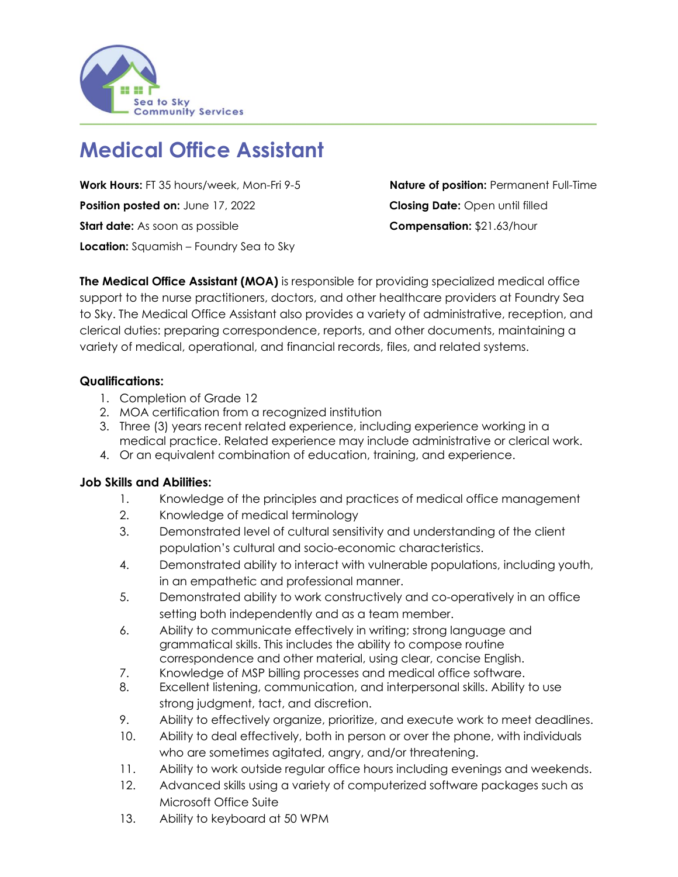

# **Medical Office Assistant**

**Work Hours:** FT 35 hours/week, Mon-Fri 9-5 **Nature of position:** Permanent Full-Time **Position posted on:** June 17, 2022 **Closing Date:** Open until filled **Start date:** As soon as possible **Compensation:** \$21.63/hour **Location:** Squamish – Foundry Sea to Sky

**The Medical Office Assistant (MOA)** is responsible for providing specialized medical office support to the nurse practitioners, doctors, and other healthcare providers at Foundry Sea to Sky. The Medical Office Assistant also provides a variety of administrative, reception, and clerical duties: preparing correspondence, reports, and other documents, maintaining a variety of medical, operational, and financial records, files, and related systems.

# **Qualifications:**

- 1. Completion of Grade 12
- 2. MOA certification from a recognized institution
- 3. Three (3) years recent related experience, including experience working in a medical practice. Related experience may include administrative or clerical work.
- 4. Or an equivalent combination of education, training, and experience.

#### **Job Skills and Abilities:**

- 1. Knowledge of the principles and practices of medical office management
- 2. Knowledge of medical terminology
- 3. Demonstrated level of cultural sensitivity and understanding of the client population's cultural and socio-economic characteristics.
- 4. Demonstrated ability to interact with vulnerable populations, including youth, in an empathetic and professional manner.
- 5. Demonstrated ability to work constructively and co-operatively in an office setting both independently and as a team member.
- 6. Ability to communicate effectively in writing; strong language and grammatical skills. This includes the ability to compose routine correspondence and other material, using clear, concise English.
- 7. Knowledge of MSP billing processes and medical office software.
- 8. Excellent listening, communication, and interpersonal skills. Ability to use strong judgment, tact, and discretion.
- 9. Ability to effectively organize, prioritize, and execute work to meet deadlines.
- 10. Ability to deal effectively, both in person or over the phone, with individuals who are sometimes agitated, angry, and/or threatening.
- 11. Ability to work outside regular office hours including evenings and weekends.
- 12. Advanced skills using a variety of computerized software packages such as Microsoft Office Suite
- 13. Ability to keyboard at 50 WPM